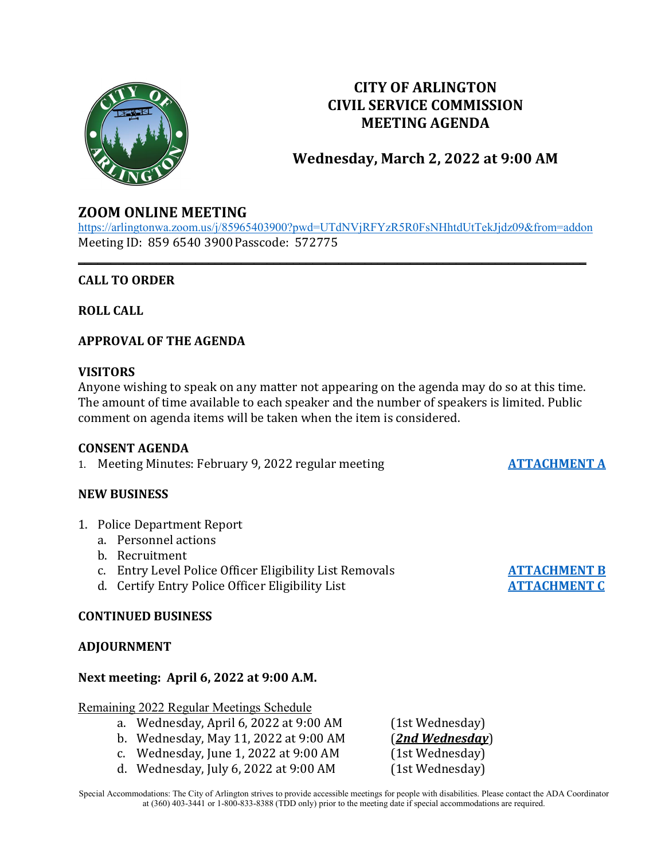

## **CITY OF ARLINGTON CIVIL SERVICE COMMISSION MEETING AGENDA**

# **Wednesday, March 2, 2022 at 9:00 AM**

## **ZOOM ONLINE MEETING**

<https://arlingtonwa.zoom.us/j/85965403900?pwd=UTdNVjRFYzR5R0FsNHhtdUtTekJjdz09&from=addon> Meeting ID: 859 6540 3900Passcode: 572775

**\_\_\_\_\_\_\_\_\_\_\_\_\_\_\_\_\_\_\_\_\_\_\_\_\_\_\_\_\_\_\_\_\_\_\_\_\_\_\_\_\_\_\_\_\_\_\_\_\_\_\_\_\_\_\_\_\_\_\_\_\_\_\_\_\_\_\_\_\_\_\_\_\_\_\_\_\_\_**

## **CALL TO ORDER**

**ROLL CALL**

## **APPROVAL OF THE AGENDA**

## **VISITORS**

Anyone wishing to speak on any matter not appearing on the agenda may do so at this time. The amount of time available to each speaker and the number of speakers is limited. Public comment on agenda items will be taken when the item is considered.

#### **CONSENT AGENDA**

1. Meeting Minutes: February 9, 2022 regular meeting **[ATTACHMENT A](https://www.arlingtonwa.gov/DocumentCenter/View/6735/ATTACHMENT-A-2-9-2022-Meeting-Minutes)** 

#### **NEW BUSINESS**

- 1. Police Department Report
	- a. Personnel actions
	- b. Recruitment
	- c. Entry Level Police Officer Eligibility List Removals **[ATTACHMENT B](https://www.arlingtonwa.gov/DocumentCenter/View/6736/ATTACHMENT-B-Entry-Level-Police-Officer-Eligibility-List-Removals-3-2-2022)**<br>d. Certify Entry Police Officer Eligibility List **ATTACHMENT C**
	- d. Certify Entry Police Officer Eligibility List

## **CONTINUED BUSINESS**

#### **ADJOURNMENT**

#### **Next meeting: April 6, 2022 at 9:00 A.M.**

#### Remaining 2022 Regular Meetings Schedule

- a. Wednesday, April 6, 2022 at 9:00 AM (1st Wednesday)<br>b. Wednesday, May 11, 2022 at 9:00 AM (2nd Wednesday)
- 
- b. Wednesday, May 11, 2022 at 9:00 AM (*2nd Wednesday*)
- c. Wednesday, June 1, 2022 at 9:00 AM (1st Wednesday)<br>d. Wednesday, July 6, 2022 at 9:00 AM (1st Wednesday) d. Wednesday, July 6, 2022 at  $9:00$  AM

Special Accommodations: The City of Arlington strives to provide accessible meetings for people with disabilities. Please contact the ADA Coordinator at (360) 403-3441 or 1-800-833-8388 (TDD only) prior to the meeting date if special accommodations are required.